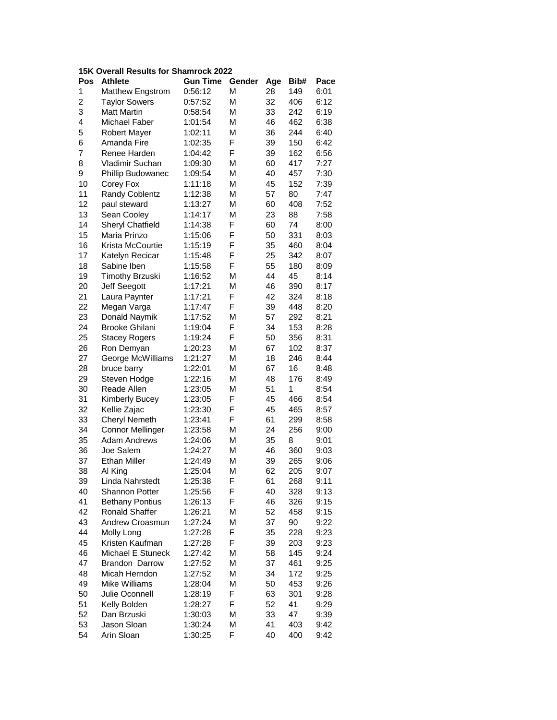## **15K Overall Results for Shamrock 2022**

| Pos                     | Athlete                 | <b>Gun Time</b> | Gender | Age | Bib# | Pace |
|-------------------------|-------------------------|-----------------|--------|-----|------|------|
| 1                       | Matthew Engstrom        | 0:56:12         | М      | 28  | 149  | 6:01 |
| $\overline{\mathbf{c}}$ | <b>Taylor Sowers</b>    | 0:57:52         | М      | 32  | 406  | 6:12 |
| 3                       | <b>Matt Martin</b>      | 0:58:54         | M      | 33  | 242  | 6:19 |
| 4                       | Michael Faber           | 1:01:54         | М      | 46  | 462  | 6:38 |
| 5                       | Robert Mayer            | 1:02:11         | М      | 36  | 244  | 6:40 |
| 6                       | Amanda Fire             | 1:02:35         | F      | 39  | 150  | 6:42 |
| 7                       | Renee Harden            | 1:04:42         | F      | 39  | 162  | 6:56 |
| 8                       | Vladimir Suchan         | 1:09:30         | М      | 60  | 417  | 7:27 |
| 9                       | Phillip Budowanec       | 1:09:54         | М      | 40  | 457  | 7:30 |
| 10                      | Corey Fox               | 1:11:18         | М      | 45  | 152  | 7:39 |
| 11                      | Randy Coblentz          | 1:12:38         | М      | 57  | 80   | 7:47 |
| 12                      | paul steward            | 1:13:27         | М      | 60  | 408  | 7:52 |
| 13                      | Sean Cooley             | 1:14:17         | М      | 23  | 88   | 7:58 |
| 14                      | Sheryl Chatfield        | 1:14:38         | F      | 60  | 74   | 8:00 |
| 15                      | Maria Prinzo            | 1:15:06         | F      | 50  | 331  | 8:03 |
| 16                      | Krista McCourtie        | 1:15:19         | F      | 35  | 460  | 8:04 |
| 17                      | Katelyn Recicar         | 1:15:48         | F      | 25  | 342  | 8:07 |
| 18                      | Sabine Iben             | 1:15:58         | F      | 55  | 180  | 8:09 |
| 19                      | <b>Timothy Brzuski</b>  | 1:16:52         | М      | 44  | 45   | 8:14 |
| 20                      | Jeff Seegott            | 1:17:21         | М      | 46  | 390  | 8:17 |
| 21                      | Laura Paynter           | 1:17:21         | F      | 42  | 324  | 8:18 |
| 22                      | Megan Varga             | 1:17:47         | F      | 39  | 448  | 8:20 |
| 23                      | Donald Naymik           | 1:17:52         | М      | 57  | 292  | 8:21 |
| 24                      | <b>Brooke Ghilani</b>   | 1:19:04         | F      | 34  | 153  | 8:28 |
| 25                      | <b>Stacey Rogers</b>    | 1:19:24         | F      | 50  | 356  | 8:31 |
| 26                      | Ron Demyan              | 1:20:23         | М      | 67  | 102  | 8:37 |
| 27                      | George McWilliams       | 1:21:27         | М      | 18  | 246  | 8:44 |
| 28                      | bruce barry             | 1:22:01         | М      | 67  | 16   | 8:48 |
| 29                      | Steven Hodge            | 1:22:16         | М      | 48  | 176  | 8:49 |
| 30                      | Reade Allen             | 1:23:05         | М      | 51  | 1    | 8:54 |
| 31                      | Kimberly Bucey          | 1:23:05         | F      | 45  | 466  | 8:54 |
| 32                      | Kellie Zajac            | 1:23:30         | F      | 45  | 465  | 8:57 |
| 33                      | <b>Cheryl Nemeth</b>    | 1:23:41         | F      | 61  | 299  | 8:58 |
| 34                      | <b>Connor Mellinger</b> | 1:23:58         | М      | 24  | 256  | 9:00 |
| 35                      | <b>Adam Andrews</b>     | 1:24:06         | М      | 35  | 8    | 9:01 |
| 36                      | Joe Salem               | 1:24:27         | М      | 46  | 360  | 9:03 |
| 37                      | <b>Ethan Miller</b>     | 1:24:49         | М      | 39  | 265  | 9:06 |
| 38                      | Al King                 | 1:25:04         | М      | 62  | 205  | 9:07 |
| 39                      | Linda Nahrstedt         | 1:25:38         | F      | 61  | 268  | 9:11 |
| 40                      | <b>Shannon Potter</b>   | 1:25:56         | F      | 40  | 328  | 9:13 |
| 41                      | <b>Bethany Pontius</b>  | 1:26:13         | F      | 46  | 326  | 9:15 |
| 42                      | <b>Ronald Shaffer</b>   | 1:26:21         | М      | 52  | 458  | 9:15 |
| 43                      | Andrew Croasmun         | 1:27:24         | М      | 37  | 90   | 9:22 |
| 44                      | Molly Long              | 1:27:28         | F      | 35  | 228  | 9:23 |
| 45                      | Kristen Kaufman         | 1:27:28         | F      | 39  | 203  | 9:23 |
| 46                      | Michael E Stuneck       | 1:27:42         | М      | 58  | 145  | 9:24 |
| 47                      | <b>Brandon Darrow</b>   | 1:27:52         | М      | 37  | 461  | 9:25 |
| 48                      | Micah Herndon           | 1:27:52         | М      | 34  | 172  | 9:25 |
| 49                      | Mike Williams           | 1:28:04         | М      | 50  | 453  | 9:26 |
| 50                      | Julie Oconnell          | 1:28:19         | F      | 63  | 301  | 9:28 |
| 51                      | Kelly Bolden            | 1:28:27         | F      | 52  | 41   | 9:29 |
| 52                      | Dan Brzuski             | 1:30:03         | М      | 33  | 47   | 9:39 |
| 53                      | Jason Sloan             | 1:30:24         | М      | 41  | 403  | 9:42 |
| 54                      | Arin Sloan              | 1:30:25         | F      | 40  | 400  | 9:42 |